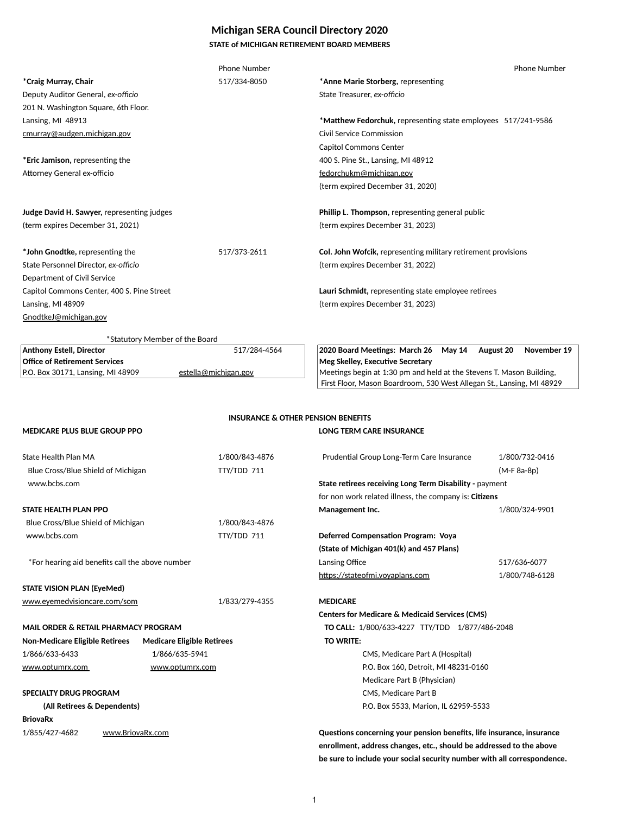# **Michigan SERA Council Directory 2020**

# **STATE of MICHIGAN RETIREMENT BOARD MEMBERS**

|                                                 | Phone Number         |                                                                       | Phone Number                    |
|-------------------------------------------------|----------------------|-----------------------------------------------------------------------|---------------------------------|
| <i>*</i> Craig Murray, Chair                    | 517/334-8050         | *Anne Marie Storberg, representing                                    |                                 |
| Deputy Auditor General, ex-officio              |                      | State Treasurer, ex-officio                                           |                                 |
| 201 N. Washington Square, 6th Floor.            |                      |                                                                       |                                 |
| Lansing, MI 48913                               |                      | *Matthew Fedorchuk, representing state employees 517/241-9586         |                                 |
| cmurray@audgen.michigan.gov                     |                      | <b>Civil Service Commission</b>                                       |                                 |
|                                                 |                      | <b>Capitol Commons Center</b>                                         |                                 |
| *Eric Jamison, representing the                 |                      | 400 S. Pine St., Lansing, MI 48912                                    |                                 |
| Attorney General ex-officio                     |                      | fedorchukm@michigan.gov                                               |                                 |
|                                                 |                      | (term expired December 31, 2020)                                      |                                 |
|                                                 |                      |                                                                       |                                 |
| Judge David H. Sawyer, representing judges      |                      | Phillip L. Thompson, representing general public                      |                                 |
| (term expires December 31, 2021)                |                      | (term expires December 31, 2023)                                      |                                 |
|                                                 |                      |                                                                       |                                 |
| *John Gnodtke, representing the                 | 517/373-2611         | <b>Col. John Wofcik, representing military retirement provisions</b>  |                                 |
| State Personnel Director, ex-officio            |                      | (term expires December 31, 2022)                                      |                                 |
| Department of Civil Service                     |                      |                                                                       |                                 |
| Capitol Commons Center, 400 S. Pine Street      |                      | Lauri Schmidt, representing state employee retirees                   |                                 |
| Lansing, MI 48909                               |                      | (term expires December 31, 2023)                                      |                                 |
| GnodtkeJ@michigan.gov                           |                      |                                                                       |                                 |
| *Statutory Member of the Board                  |                      |                                                                       |                                 |
| Anthony Estell, Director                        | 517/284-4564         | 2020 Board Meetings: March 26 May 14                                  | November 19<br><b>August 20</b> |
| <b>Office of Retirement Services</b>            |                      | <b>Meg Skelley, Executive Secretary</b>                               |                                 |
| P.O. Box 30171, Lansing, MI 48909               | estella@michigan.gov | Meetings begin at 1:30 pm and held at the Stevens T. Mason Building,  |                                 |
|                                                 |                      | First Floor, Mason Boardroom, 530 West Allegan St., Lansing, MI 48929 |                                 |
|                                                 |                      |                                                                       |                                 |
|                                                 |                      | <b>INSURANCE &amp; OTHER PENSION BENEFITS</b>                         |                                 |
| MEDICARE PLUS BLUE GROUP PPO                    |                      | LONG TERM CARE INSURANCE                                              |                                 |
| State Health Plan MA                            | 1/800/843-4876       | Prudential Group Long-Term Care Insurance                             | 1/800/732-0416                  |
| Blue Cross/Blue Shield of Michigan              | TTY/TDD 711          |                                                                       | $(M-F 8a-8p)$                   |
| www.bcbs.com                                    |                      | State retirees receiving Long Term Disability - payment               |                                 |
|                                                 |                      | for non work related illness, the company is: Citizens                |                                 |
| STATE HEALTH PLAN PPO                           |                      | Management Inc.                                                       | 1/800/324-9901                  |
| Blue Cross/Blue Shield of Michigan              | 1/800/843-4876       |                                                                       |                                 |
| www.bcbs.com                                    | TTY/TDD 711          | <b>Deferred Compensation Program: Voya</b>                            |                                 |
|                                                 |                      | (State of Michigan 401(k) and 457 Plans)                              |                                 |
| *For hearing aid benefits call the above number |                      | Lansing Office                                                        | 517/636-6077                    |
|                                                 |                      | https://stateofmi.voyaplans.com                                       | 1/800/748-6128                  |
| <b>STATE VISION PLAN (EyeMed)</b>               |                      |                                                                       |                                 |
| www.eyemedvisioncare.com/som                    | 1/833/279-4355       | <b>MEDICARE</b>                                                       |                                 |
|                                                 |                      | <b>Centers for Medicare &amp; Medicaid Services (CMS)</b>             |                                 |
|                                                 |                      |                                                                       |                                 |

1/855/427-4682 www.BriovaRx.com **Music Constant Constant Constant Constant Constant Constant Constant Constant enrollment, address changes, etc., should be addressed to the above be sure to include your social security number with all correspondence.**

**MAIL ORDER & RETAIL PHARMACY PROGRAM TO CALL:** 1/800/633-4227 TTY/TDD 1/877/486-2048

# **Non-Medicare Eligible Retirees Medicare Eligible Retirees <b>TO WRITE: TO** WRITE: 1/866/633-6433 1/866/635-5941 CMS, Medicare Part A (Hospital) [www.optumrx.com www.optumrx.com](http://www.optumrx.com/) www.optumrx.com entitled by P.O. Box 160, Detroit, MI 48231-0160

# **SPECIALTY DRUG PROGRAM** CMS, Medicare Part B

Medicare Part B (Physician)

**(All Retirees & Dependents) (All Retirees & Dependents) P.O. Box 5533, Marion, IL 62959-5533** 

# **BriovaRx**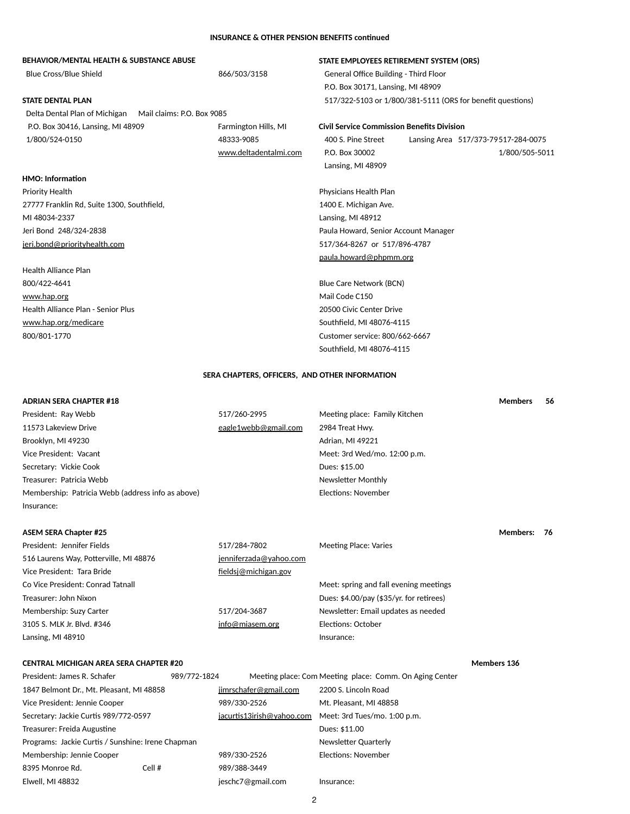### **INSURANCE & OTHER PENSION BENEFITS continued**

| 866/503/3158               | <b>General Office Building - Third Floor</b> |  |                                                                                                                                                                                                                                                                                                                                                                                                                                 |
|----------------------------|----------------------------------------------|--|---------------------------------------------------------------------------------------------------------------------------------------------------------------------------------------------------------------------------------------------------------------------------------------------------------------------------------------------------------------------------------------------------------------------------------|
|                            |                                              |  |                                                                                                                                                                                                                                                                                                                                                                                                                                 |
|                            |                                              |  |                                                                                                                                                                                                                                                                                                                                                                                                                                 |
| Mail claims: P.O. Box 9085 |                                              |  |                                                                                                                                                                                                                                                                                                                                                                                                                                 |
| Farmington Hills, MI       |                                              |  |                                                                                                                                                                                                                                                                                                                                                                                                                                 |
| 48333-9085                 | 400 S. Pine Street                           |  | Lansing Area 517/373-79517-284-0075                                                                                                                                                                                                                                                                                                                                                                                             |
| www.deltadentalmi.com      | P.O. Box 30002                               |  | 1/800/505-5011                                                                                                                                                                                                                                                                                                                                                                                                                  |
|                            | Lansing, MI 48909                            |  |                                                                                                                                                                                                                                                                                                                                                                                                                                 |
|                            |                                              |  |                                                                                                                                                                                                                                                                                                                                                                                                                                 |
|                            | Physicians Health Plan                       |  |                                                                                                                                                                                                                                                                                                                                                                                                                                 |
|                            | 1400 E. Michigan Ave.                        |  |                                                                                                                                                                                                                                                                                                                                                                                                                                 |
|                            | Lansing, MI 48912                            |  |                                                                                                                                                                                                                                                                                                                                                                                                                                 |
|                            |                                              |  |                                                                                                                                                                                                                                                                                                                                                                                                                                 |
|                            |                                              |  |                                                                                                                                                                                                                                                                                                                                                                                                                                 |
|                            |                                              |  |                                                                                                                                                                                                                                                                                                                                                                                                                                 |
|                            |                                              |  |                                                                                                                                                                                                                                                                                                                                                                                                                                 |
|                            |                                              |  |                                                                                                                                                                                                                                                                                                                                                                                                                                 |
|                            | Mail Code C150                               |  |                                                                                                                                                                                                                                                                                                                                                                                                                                 |
|                            | 20500 Civic Center Drive                     |  |                                                                                                                                                                                                                                                                                                                                                                                                                                 |
|                            |                                              |  |                                                                                                                                                                                                                                                                                                                                                                                                                                 |
|                            |                                              |  |                                                                                                                                                                                                                                                                                                                                                                                                                                 |
|                            |                                              |  |                                                                                                                                                                                                                                                                                                                                                                                                                                 |
|                            |                                              |  | STATE EMPLOYEES RETIREMENT SYSTEM (ORS)<br>P.O. Box 30171, Lansing, MI 48909<br>517/322-5103 or 1/800/381-5111 (ORS for benefit questions)<br><b>Civil Service Commission Benefits Division</b><br>Paula Howard, Senior Account Manager<br>517/364-8267 or 517/896-4787<br>paula.howard@phpmm.org<br><b>Blue Care Network (BCN)</b><br>Southfield, MI 48076-4115<br>Customer service: 800/662-6667<br>Southfield, MI 48076-4115 |

### **SERA CHAPTERS, OFFICERS, AND OTHER INFORMATION**

| <b>ADRIAN SERA CHAPTER #18</b>                    |                      |                               | <b>Members</b> | -56 |
|---------------------------------------------------|----------------------|-------------------------------|----------------|-----|
| President: Ray Webb                               | 517/260-2995         | Meeting place: Family Kitchen |                |     |
| 11573 Lakeview Drive                              | eagle1webb@gmail.com | 2984 Treat Hwy.               |                |     |
| Brooklyn, MI 49230                                |                      | Adrian, MI 49221              |                |     |
| Vice President: Vacant                            |                      | Meet: 3rd Wed/mo. 12:00 p.m.  |                |     |
| Secretary: Vickie Cook                            |                      | Dues: \$15.00                 |                |     |
| Treasurer: Patricia Webb                          |                      | <b>Newsletter Monthly</b>     |                |     |
| Membership: Patricia Webb (address info as above) |                      | Elections: November           |                |     |
| Insurance:                                        |                      |                               |                |     |
|                                                   |                      |                               |                |     |

| <b>ASEM SERA Chapter #25</b>           |                        |                                          | <b>Members:</b> | - 76 |
|----------------------------------------|------------------------|------------------------------------------|-----------------|------|
| President: Jennifer Fields             | 517/284-7802           | <b>Meeting Place: Varies</b>             |                 |      |
| 516 Laurens Way, Potterville, MI 48876 | jenniferzada@yahoo.com |                                          |                 |      |
| Vice President: Tara Bride             | fieldsj@michigan.gov   |                                          |                 |      |
| Co Vice President: Conrad Tatnall      |                        | Meet: spring and fall evening meetings   |                 |      |
| Treasurer: John Nixon                  |                        | Dues: \$4.00/pay (\$35/yr. for retirees) |                 |      |
| Membership: Suzy Carter                | 517/204-3687           | Newsletter: Email updates as needed      |                 |      |
| 3105 S. MLK Jr. Blvd. #346             | info@miasem.org        | Elections: October                       |                 |      |

# **CENTRAL MICHIGAN AREA SERA CHAPTER #20 Members 137 Members 136**

President: James R. Schafer 989/772-1824 Meeting place: Com Meeting place: Comm. On Aging Center 1847 Belmont Dr., Mt. Pleasant, MI 48858 [jimrschafer@gmail.com](mailto:bandema@i2k.com) 2200 S. Lincoln Road Vice President: Jennie Cooper 989/330-2526 Mt. Pleasant, MI 48858 Secretary: Jackie Curtis 989/772-0597 jacurtis13irish@yahoo.com Meet: 3rd Tues/mo. 1:00 p.m. Treasurer: Freida Augustine Dues: \$11.00 Programs: Jackie Curtis / Sunshine: Irene Chapman Newsletter Quarterly Membership: Jennie Cooper 1989/330-2526 Elections: November 8395 Monroe Rd. Cell # 989/388-3449 Elwell, MI 48832 **Elwell**, MI 48832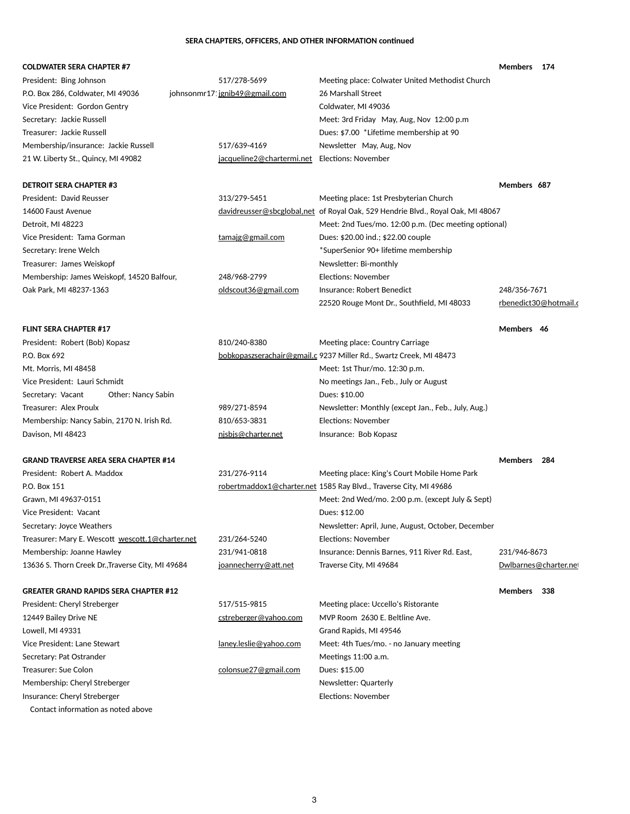|                           |                                                                                   | <b>Members</b><br>174                                                                                                                                                                                                      |
|---------------------------|-----------------------------------------------------------------------------------|----------------------------------------------------------------------------------------------------------------------------------------------------------------------------------------------------------------------------|
| 517/278-5699              | Meeting place: Colwater United Methodist Church                                   |                                                                                                                                                                                                                            |
|                           | 26 Marshall Street                                                                |                                                                                                                                                                                                                            |
|                           | Coldwater, MI 49036                                                               |                                                                                                                                                                                                                            |
|                           | Meet: 3rd Friday May, Aug, Nov 12:00 p.m                                          |                                                                                                                                                                                                                            |
|                           | Dues: \$7.00 *Lifetime membership at 90                                           |                                                                                                                                                                                                                            |
| 517/639-4169              | Newsletter May, Aug, Nov                                                          |                                                                                                                                                                                                                            |
| jacqueline2@chartermi.net | Elections: November                                                               |                                                                                                                                                                                                                            |
|                           |                                                                                   | Members 687                                                                                                                                                                                                                |
| 313/279-5451              | Meeting place: 1st Presbyterian Church                                            |                                                                                                                                                                                                                            |
|                           |                                                                                   |                                                                                                                                                                                                                            |
|                           | Meet: 2nd Tues/mo. 12:00 p.m. (Dec meeting optional)                              |                                                                                                                                                                                                                            |
| tamajg@gmail.com          | Dues: \$20.00 ind.; \$22.00 couple                                                |                                                                                                                                                                                                                            |
|                           | *SuperSenior 90+ lifetime membership                                              |                                                                                                                                                                                                                            |
|                           | Newsletter: Bi-monthly                                                            |                                                                                                                                                                                                                            |
| 248/968-2799              | <b>Elections: November</b>                                                        |                                                                                                                                                                                                                            |
| oldscout36@gmail.com      | Insurance: Robert Benedict                                                        | 248/356-7671                                                                                                                                                                                                               |
|                           | 22520 Rouge Mont Dr., Southfield, MI 48033                                        | rbenedict30@hotmail.c                                                                                                                                                                                                      |
|                           |                                                                                   | Members 46                                                                                                                                                                                                                 |
| 810/240-8380              | Meeting place: Country Carriage                                                   |                                                                                                                                                                                                                            |
|                           |                                                                                   |                                                                                                                                                                                                                            |
|                           | Meet: 1st Thur/mo. 12:30 p.m.                                                     |                                                                                                                                                                                                                            |
|                           | No meetings Jan., Feb., July or August                                            |                                                                                                                                                                                                                            |
|                           | Dues: \$10.00                                                                     |                                                                                                                                                                                                                            |
| 989/271-8594              | Newsletter: Monthly (except Jan., Feb., July, Aug.)                               |                                                                                                                                                                                                                            |
| 810/653-3831              | <b>Elections: November</b>                                                        |                                                                                                                                                                                                                            |
| nisbis@charter.net        | Insurance: Bob Kopasz                                                             |                                                                                                                                                                                                                            |
|                           |                                                                                   | <b>Members</b><br>284                                                                                                                                                                                                      |
| 231/276-9114              | Meeting place: King's Court Mobile Home Park                                      |                                                                                                                                                                                                                            |
|                           |                                                                                   |                                                                                                                                                                                                                            |
|                           | Meet: 2nd Wed/mo. 2:00 p.m. (except July & Sept)                                  |                                                                                                                                                                                                                            |
|                           | Dues: \$12.00                                                                     |                                                                                                                                                                                                                            |
|                           | Newsletter: April, June, August, October, December                                |                                                                                                                                                                                                                            |
| 231/264-5240              | <b>Elections: November</b>                                                        |                                                                                                                                                                                                                            |
| 231/941-0818              | Insurance: Dennis Barnes, 911 River Rd. East,                                     | 231/946-8673                                                                                                                                                                                                               |
|                           | johnsonmr17 jgnib49@gmail.com<br>Treasurer: Mary E. Wescott wescott.1@charter.net | davidreusser@sbcglobal,net of Royal Oak, 529 Hendrie Blvd., Royal Oak, MI 48067<br>bobkopaszserachair@gmail.c 9237 Miller Rd., Swartz Creek, MI 48473<br>robertmaddox1@charter.net 1585 Ray Blvd., Traverse City, MI 49686 |

13636 S. Thorn Creek Dr.,Traverse City, MI 49684 joannecherry@att.net Traverse City, MI 49684 [Dwlbarnes@charter.net](mailto:Dwlbarnes@charter.net)

**GREATER GRAND RAPIDS SERA CHAPTER #12 Members 338**

President: Cheryl Streberger 1980 1991 517/515-9815 Meeting place: Uccello's Ristorante 12449 Bailey Drive NE **channel Come Contract Come Contract Come Contract** MVP Room 2630 E. Beltline Ave.

### Lowell, MI 49331 **Grand Rapids, MI 49546**

Vice President: Lane Stewart lanes are [laney.leslie@yahoo.com](mailto:jrwallin@sbcglobal.net) Meet: 4th Tues/mo. - no January meeting

Secretary: Pat Ostrander MeeTher MeeTher MeeTher MeeTher MeeTher MeeTher MeeTher MeeTher MeeTher MeeTher MeeTh

Membership: Cheryl Streberger Newsletter: Quarterly

Insurance: Cheryl Streberger **Elections: November** Elections: November

Contact information as noted above

Treasurer: Sue Colon **[colonsue27@gmail.com](mailto:colonsue27@gmail.com)** Dues: \$15.00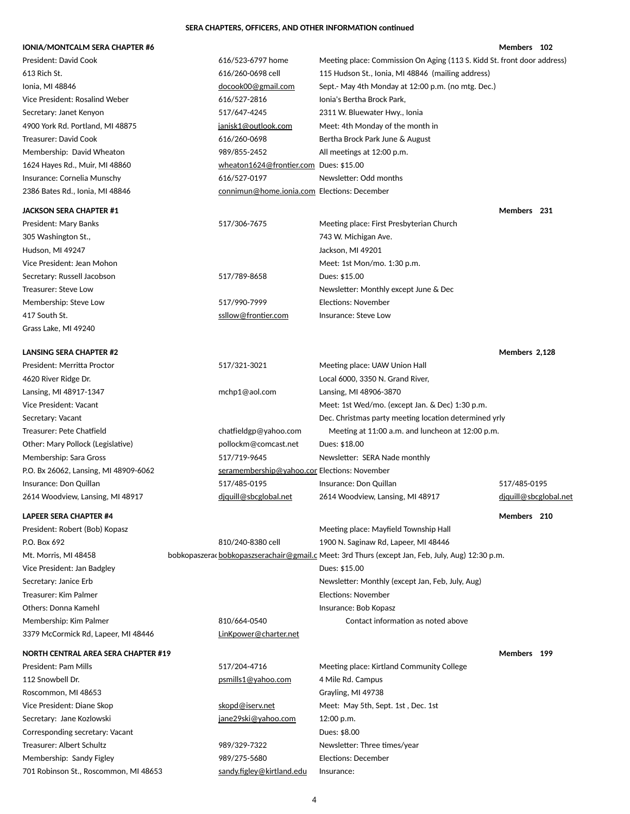# **IONIA/MONTCALM SERA CHAPTER #6 Members** 102

| <b>President: David Cook</b>          | 616/523-6797 home                            | Meeting place: Commission On Aging (113 S. Kidd St. front door address)                          |                       |  |
|---------------------------------------|----------------------------------------------|--------------------------------------------------------------------------------------------------|-----------------------|--|
| 613 Rich St.                          | 616/260-0698 cell                            | 115 Hudson St., Ionia, MI 48846 (mailing address)                                                |                       |  |
| Ionia, MI 48846                       | docook00@gmail.com                           | Sept.- May 4th Monday at 12:00 p.m. (no mtg. Dec.)                                               |                       |  |
| Vice President: Rosalind Weber        | 616/527-2816                                 | Ionia's Bertha Brock Park,                                                                       |                       |  |
| Secretary: Janet Kenyon               | 517/647-4245                                 | 2311 W. Bluewater Hwy., Ionia                                                                    |                       |  |
| 4900 York Rd. Portland, MI 48875      | janisk1@outlook.com                          | Meet: 4th Monday of the month in                                                                 |                       |  |
| <b>Treasurer: David Cook</b>          | 616/260-0698                                 | Bertha Brock Park June & August                                                                  |                       |  |
| Membership: David Wheaton             | 989/855-2452                                 | All meetings at 12:00 p.m.                                                                       |                       |  |
| 1624 Hayes Rd., Muir, MI 48860        | wheaton1624@frontier.com Dues: \$15.00       |                                                                                                  |                       |  |
| Insurance: Cornelia Munschy           | 616/527-0197                                 | Newsletter: Odd months                                                                           |                       |  |
| 2386 Bates Rd., Ionia, MI 48846       | connimun@home.ionia.com Elections: December  |                                                                                                  |                       |  |
| <b>JACKSON SERA CHAPTER #1</b>        |                                              |                                                                                                  | Members 231           |  |
| <b>President: Mary Banks</b>          | 517/306-7675                                 | Meeting place: First Presbyterian Church                                                         |                       |  |
| 305 Washington St.,                   |                                              | 743 W. Michigan Ave.                                                                             |                       |  |
| Hudson, MI 49247                      |                                              | Jackson, MI 49201                                                                                |                       |  |
| Vice President: Jean Mohon            |                                              | Meet: 1st Mon/mo. 1:30 p.m.                                                                      |                       |  |
| Secretary: Russell Jacobson           | 517/789-8658                                 | Dues: \$15.00                                                                                    |                       |  |
| Treasurer: Steve Low                  |                                              | Newsletter: Monthly except June & Dec                                                            |                       |  |
| Membership: Steve Low                 | 517/990-7999                                 | <b>Elections: November</b>                                                                       |                       |  |
| 417 South St.                         | ssllow@frontier.com                          | Insurance: Steve Low                                                                             |                       |  |
| Grass Lake, MI 49240                  |                                              |                                                                                                  |                       |  |
| <b>LANSING SERA CHAPTER #2</b>        |                                              |                                                                                                  | Members 2,128         |  |
| President: Merritta Proctor           | 517/321-3021                                 | Meeting place: UAW Union Hall                                                                    |                       |  |
| 4620 River Ridge Dr.                  |                                              | Local 6000, 3350 N. Grand River,                                                                 |                       |  |
| Lansing, MI 48917-1347                | mchp1@aol.com                                | Lansing, MI 48906-3870                                                                           |                       |  |
| Vice President: Vacant                |                                              | Meet: 1st Wed/mo. (except Jan. & Dec) 1:30 p.m.                                                  |                       |  |
| Secretary: Vacant                     |                                              | Dec. Christmas party meeting location determined yrly                                            |                       |  |
| Treasurer: Pete Chatfield             | chatfieldgp@yahoo.com                        | Meeting at 11:00 a.m. and luncheon at 12:00 p.m.                                                 |                       |  |
| Other: Mary Pollock (Legislative)     | pollockm@comcast.net                         | Dues: \$18.00                                                                                    |                       |  |
| Membership: Sara Gross                | 517/719-9645                                 | Newsletter: SERA Nade monthly                                                                    |                       |  |
| P.O. Bx 26062, Lansing, MI 48909-6062 | seramembership@yahoo.con Elections: November |                                                                                                  |                       |  |
| Insurance: Don Quillan                | 517/485-0195                                 | Insurance: Don Quillan                                                                           | 517/485-0195          |  |
| 2614 Woodview, Lansing, MI 48917      | diquill@sbcglobal.net                        | 2614 Woodview, Lansing, MI 48917                                                                 | diquill@sbcglobal.net |  |
| <b>LAPEER SERA CHAPTER #4</b>         |                                              |                                                                                                  | Members 210           |  |
| President: Robert (Bob) Kopasz        |                                              | Meeting place: Mayfield Township Hall                                                            |                       |  |
| P.O. Box 692                          | 810/240-8380 cell                            | 1900 N. Saginaw Rd, Lapeer, MI 48446                                                             |                       |  |
| Mt. Morris, MI 48458                  |                                              | bobkopaszerac bobkopaszserachair@gmail.c Meet: 3rd Thurs (except Jan, Feb, July, Aug) 12:30 p.m. |                       |  |
| Vice President: Jan Badgley           |                                              | Dues: \$15.00                                                                                    |                       |  |
| Secretary: Janice Erb                 |                                              | Newsletter: Monthly (except Jan, Feb, July, Aug)                                                 |                       |  |
| Treasurer: Kim Palmer                 |                                              | <b>Elections: November</b>                                                                       |                       |  |
| <b>Others: Donna Kamehl</b>           |                                              | Insurance: Bob Kopasz                                                                            |                       |  |
| Membership: Kim Palmer                | 810/664-0540                                 | Contact information as noted above                                                               |                       |  |

3379 McCormick Rd, Lapeer, MI 48446 [LinKpower@charter.net](mailto:jrwallin@sbcglobal.net)

# **NORTH CENTRAL AREA SERA CHAPTER #19 Members 199**

Secretary: Jane Kozlowski https://www.mateur.com interesting interesting of the Secretary: 12:00 p.m. Corresponding secretary: Vacant Dues: \$8.00 Treasurer: Albert Schultz **Newsletter: Three 2016** Newsletter: Three times/year Membership: Sandy Figley 1988 1999/275-5680 Elections: December 701 Robinson St., Roscommon, MI 48653 [sandy.figley@kirtland.edu](mailto:jrwallin@sbcglobal.net) Insurance:

President: Pam Mills **Exercice 20 and Allege 2018** 517/204-4716 Meeting place: Kirtland Community College 112 Snowbell Dr. **[psmills1@yahoo.com](mailto:psmills1@yahoo.com)** 4 Mile Rd. Campus Roscommon, MI 48653 Grayling, MI 49738 Vice President: Diane Skop states and the [skopd@iserv.net](mailto:duanejanet@centurytel.net) Meet: May 5th, Sept. 1st, Dec. 1st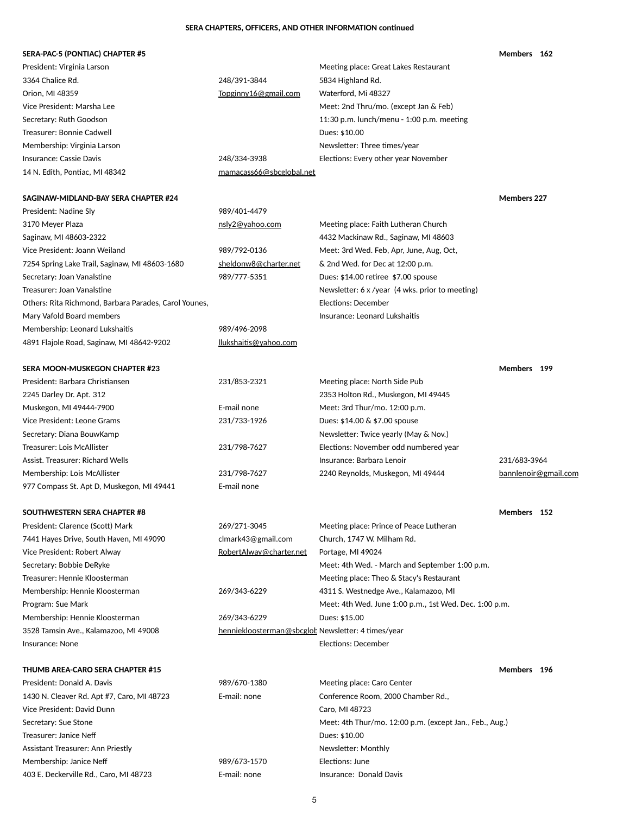# **SERA-PAC-5 (PONTIAC) CHAPTER #5 Members 162**

| President: Virginia Larson                            |                          | Meeting place: Great Lakes Restaurant                  |                      |
|-------------------------------------------------------|--------------------------|--------------------------------------------------------|----------------------|
| 3364 Chalice Rd.                                      | 248/391-3844             | 5834 Highland Rd.                                      |                      |
| Orion, MI 48359                                       | Topginny16@gmail.com     | Waterford, Mi 48327                                    |                      |
| Vice President: Marsha Lee                            |                          | Meet: 2nd Thru/mo. (except Jan & Feb)                  |                      |
| Secretary: Ruth Goodson                               |                          | 11:30 p.m. lunch/menu - 1:00 p.m. meeting              |                      |
| Treasurer: Bonnie Cadwell                             |                          | Dues: \$10.00                                          |                      |
| Membership: Virginia Larson                           |                          | Newsletter: Three times/year                           |                      |
| <b>Insurance: Cassie Davis</b>                        | 248/334-3938             | Elections: Every other year November                   |                      |
| 14 N. Edith, Pontiac, MI 48342                        | mamacass66@sbcglobal.net |                                                        |                      |
| SAGINAW-MIDLAND-BAY SERA CHAPTER #24                  |                          |                                                        | <b>Members 227</b>   |
| President: Nadine Sly                                 | 989/401-4479             |                                                        |                      |
| 3170 Meyer Plaza                                      | nsly2@yahoo.com          | Meeting place: Faith Lutheran Church                   |                      |
| Saginaw, MI 48603-2322                                |                          | 4432 Mackinaw Rd., Saginaw, MI 48603                   |                      |
| Vice President: Joann Weiland                         | 989/792-0136             | Meet: 3rd Wed. Feb, Apr, June, Aug, Oct,               |                      |
| 7254 Spring Lake Trail, Saginaw, MI 48603-1680        | sheldonw8@charter.net    | & 2nd Wed. for Dec at 12:00 p.m.                       |                      |
| Secretary: Joan Vanalstine                            | 989/777-5351             | Dues: \$14.00 retiree \$7.00 spouse                    |                      |
| Treasurer: Joan Vanalstine                            |                          | Newsletter: 6 x /year (4 wks. prior to meeting)        |                      |
| Others: Rita Richmond, Barbara Parades, Carol Younes, |                          | <b>Elections: December</b>                             |                      |
| Mary Vafold Board members                             |                          | Insurance: Leonard Lukshaitis                          |                      |
| Membership: Leonard Lukshaitis                        | 989/496-2098             |                                                        |                      |
| 4891 Flajole Road, Saginaw, MI 48642-9202             | llukshaitis@yahoo.com    |                                                        |                      |
| SERA MOON-MUSKEGON CHAPTER #23                        |                          |                                                        | Members 199          |
| President: Barbara Christiansen                       | 231/853-2321             | Meeting place: North Side Pub                          |                      |
| 2245 Darley Dr. Apt. 312                              |                          | 2353 Holton Rd., Muskegon, MI 49445                    |                      |
| Muskegon, MI 49444-7900                               | E-mail none              | Meet: 3rd Thur/mo. 12:00 p.m.                          |                      |
| Vice President: Leone Grams                           | 231/733-1926             | Dues: \$14.00 & \$7.00 spouse                          |                      |
| Secretary: Diana BouwKamp                             |                          | Newsletter: Twice yearly (May & Nov.)                  |                      |
| <b>Treasurer: Lois McAllister</b>                     | 231/798-7627             | Elections: November odd numbered year                  |                      |
| <b>Assist. Treasurer: Richard Wells</b>               |                          | Insurance: Barbara Lenoir                              | 231/683-3964         |
| Membership: Lois McAllister                           | 231/798-7627             | 2240 Reynolds, Muskegon, MI 49444                      | bannlenoir@gmail.com |
| 977 Compass St. Apt D, Muskegon, MI 49441             | E-mail none              |                                                        |                      |
| <b>SOUTHWESTERN SERA CHAPTER #8</b>                   |                          |                                                        | Members 152          |
| President: Clarence (Scott) Mark                      | 269/271-3045             | Meeting place: Prince of Peace Lutheran                |                      |
| 7441 Hayes Drive, South Haven, MI 49090               | clmark43@gmail.com       | Church, 1747 W. Milham Rd.                             |                      |
| Vice President: Robert Alway                          | RobertAlway@charter.net  | Portage, MI 49024                                      |                      |
| Secretary: Bobbie DeRyke                              |                          | Meet: 4th Wed. - March and September 1:00 p.m.         |                      |
| Treasurer: Hennie Kloosterman                         |                          | Meeting place: Theo & Stacy's Restaurant               |                      |
| Membership: Hennie Kloosterman                        | 269/343-6229             | 4311 S. Westnedge Ave., Kalamazoo, MI                  |                      |
| Program: Sue Mark                                     |                          | Meet: 4th Wed. June 1:00 p.m., 1st Wed. Dec. 1:00 p.m. |                      |
| Membership: Hennie Kloosterman                        | 269/343-6229             | Dues: \$15.00                                          |                      |

3528 Tamsin Ave., Kalamazoo, MI 49008 henniekloosterman@sbcglob Newsletter: 4 times/year

Insurance: None **Elections: December** 

# **THUMB AREA-CARO SERA CHAPTER #15 Members 196**

President: Donald A. Davis **Exercice 289/670-1380** Meeting place: Caro Center 1430 N. Cleaver Rd. Apt #7, Caro, MI 48723 E-mail: none Conference Room, 2000 Chamber Rd., Vice President: David Dunn Caro, MI 48723 Treasurer: Janice Neff **Dues: \$10.00** Assistant Treasurer: Ann Priestly Newsletter: Monthly Membership: Janice Neff **Network** 1989/673-1570 Elections: June 403 E. Deckerville Rd., Caro, MI 48723 **E-mail: none** Insurance: Donald Davis

Secretary: Sue Stone Meet: 4th Thur/mo. 12:00 p.m. (except Jan., Feb., Aug.)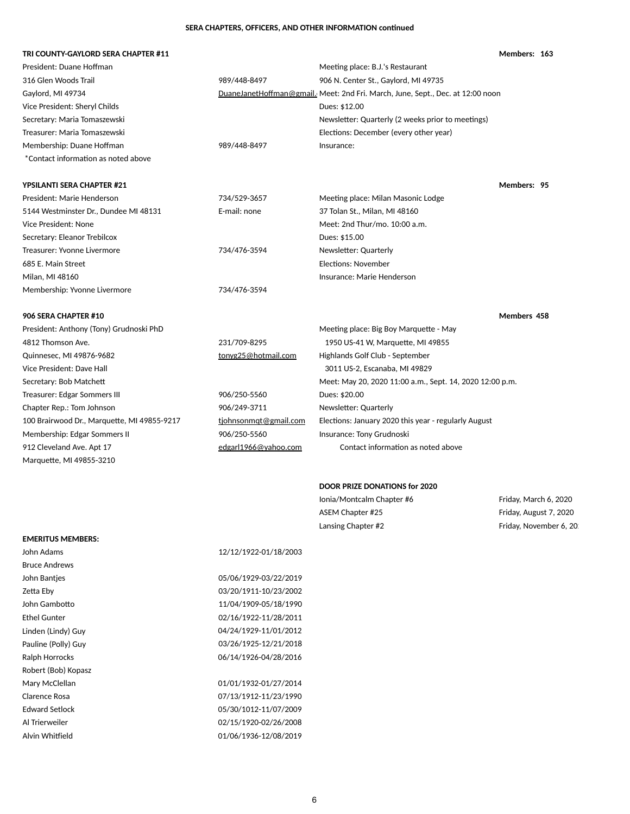### **TRI COUNTY-GAYLORD SERA CHAPTER #11 Members: 163**

Linden (Lindy) Guy 04/24/1929-11/01/2012 Pauline (Polly) Guy 03/26/1925-12/21/2018 Ralph Horrocks 06/14/1926-04/28/2016 Mary McClellan 201/01/1932-01/27/2014

| President: Duane Hoffman                    |                       | Meeting place: B.J.'s Restaurant                                               |                        |
|---------------------------------------------|-----------------------|--------------------------------------------------------------------------------|------------------------|
| 316 Glen Woods Trail                        | 989/448-8497          | 906 N. Center St., Gaylord, MI 49735                                           |                        |
| Gaylord, MI 49734                           |                       | DuaneJanetHoffman@gmail. Meet: 2nd Fri. March, June, Sept., Dec. at 12:00 noon |                        |
| Vice President: Sheryl Childs               |                       | Dues: \$12.00                                                                  |                        |
| Secretary: Maria Tomaszewski                |                       | Newsletter: Quarterly (2 weeks prior to meetings)                              |                        |
| Treasurer: Maria Tomaszewski                |                       | Elections: December (every other year)                                         |                        |
| Membership: Duane Hoffman                   | 989/448-8497          | Insurance:                                                                     |                        |
| *Contact information as noted above         |                       |                                                                                |                        |
| <b>YPSILANTI SERA CHAPTER #21</b>           |                       |                                                                                | Members: 95            |
| President: Marie Henderson                  | 734/529-3657          | Meeting place: Milan Masonic Lodge                                             |                        |
| 5144 Westminster Dr., Dundee MI 48131       | E-mail: none          | 37 Tolan St., Milan, MI 48160                                                  |                        |
| Vice President: None                        |                       | Meet: 2nd Thur/mo. 10:00 a.m.                                                  |                        |
| Secretary: Eleanor Trebilcox                |                       | Dues: \$15.00                                                                  |                        |
| Treasurer: Yvonne Livermore                 | 734/476-3594          | Newsletter: Quarterly                                                          |                        |
| 685 E. Main Street                          |                       | <b>Elections: November</b>                                                     |                        |
| Milan, MI 48160                             |                       | Insurance: Marie Henderson                                                     |                        |
| Membership: Yvonne Livermore                | 734/476-3594          |                                                                                |                        |
| 906 SERA CHAPTER #10                        |                       |                                                                                | Members 458            |
| President: Anthony (Tony) Grudnoski PhD     |                       | Meeting place: Big Boy Marquette - May                                         |                        |
| 4812 Thomson Ave.                           | 231/709-8295          | 1950 US-41 W, Marquette, MI 49855                                              |                        |
| Quinnesec, MI 49876-9682                    | tonyg25@hotmail.com   | Highlands Golf Club - September                                                |                        |
| Vice President: Dave Hall                   |                       | 3011 US-2, Escanaba, MI 49829                                                  |                        |
| Secretary: Bob Matchett                     |                       | Meet: May 20, 2020 11:00 a.m., Sept. 14, 2020 12:00 p.m.                       |                        |
| <b>Treasurer: Edgar Sommers III</b>         | 906/250-5560          | Dues: \$20.00                                                                  |                        |
| Chapter Rep.: Tom Johnson                   | 906/249-3711          | Newsletter: Quarterly                                                          |                        |
| 100 Brairwood Dr., Marquette, MI 49855-9217 | tjohnsonmqt@gmail.com | Elections: January 2020 this year - regularly August                           |                        |
| Membership: Edgar Sommers II                | 906/250-5560          | Insurance: Tony Grudnoski                                                      |                        |
| 912 Cleveland Ave. Apt 17                   | edgarl1966@yahoo.com  | Contact information as noted above                                             |                        |
| Marquette, MI 49855-3210                    |                       |                                                                                |                        |
|                                             |                       | <b>DOOR PRIZE DONATIONS for 2020</b>                                           |                        |
|                                             |                       | Ionia/Montcalm Chapter #6                                                      | Friday, March 6, 2020  |
|                                             |                       | ASEM Chapter #25                                                               | Friday, August 7, 2020 |
|                                             |                       | Lansing Chapter #2                                                             | Friday, November 6, 20 |
| <b>EMERITUS MEMBERS:</b>                    |                       |                                                                                |                        |
| John Adams                                  | 12/12/1922-01/18/2003 |                                                                                |                        |
| <b>Bruce Andrews</b>                        |                       |                                                                                |                        |
| John Bantjes                                | 05/06/1929-03/22/2019 |                                                                                |                        |
| Zetta Eby                                   | 03/20/1911-10/23/2002 |                                                                                |                        |
| John Gambotto                               | 11/04/1909-05/18/1990 |                                                                                |                        |
| <b>Ethel Gunter</b>                         | 02/16/1922-11/28/2011 |                                                                                |                        |

Clarence Rosa 07/13/1912-11/23/1990 Edward Setlock 05/30/1012-11/07/2009 Al Trierweiler 02/15/1920-02/26/2008 Alvin Whitfield 201/06/1936-12/08/2019

Robert (Bob) Kopasz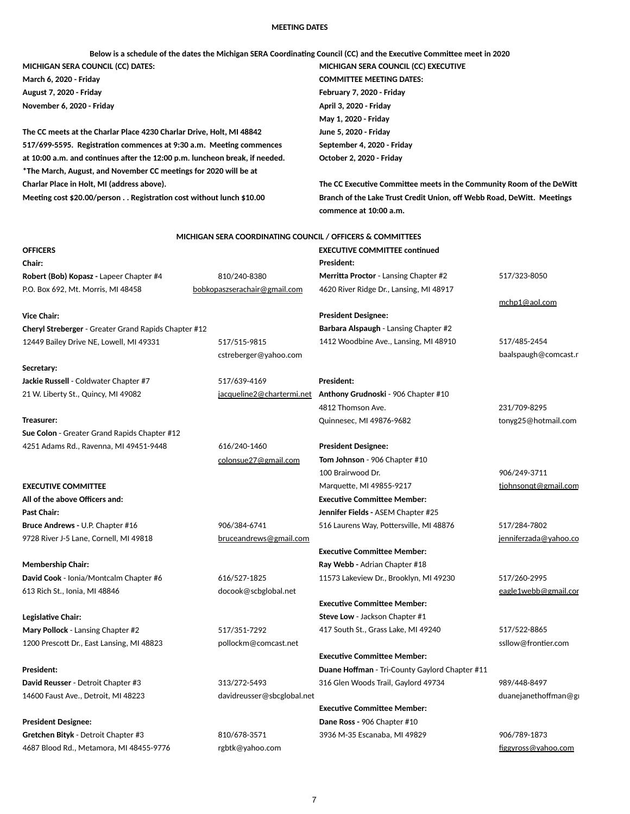### **MEETING DATES**

Below is a schedule of the dates the Michigan SERA Coordinating Council (CC) and the Executive Committee meet in 2020 **MICHIGAN SERA COUNCIL (CC) DATES: MICHIGAN SERA COUNCIL (CC) EXECUTIVE** 

**The CC meets at the Charlar Place 4230 Charlar Drive, Holt, MI 48842 June 5, 2020 - Friday 517/699-5595. RegistraQon commences at 9:30 a.m. MeeQng commences September 4, 2020 - Friday** at 10:00 a.m. and continues after the 12:00 p.m. luncheon break, if needed. **October 2, 2020 - Friday** \* The March, August, and November CC meetings for 2020 will be at **Charlar Place in Holt, MI (address above). The CC Executive Committee meets in the Community Room of the DeWitt** 

**March 6, 2020 - Friday COMMITTEE MEETING DATES: May 1, 2020 - Friday**

**August 7, 2020 - Friday February 7, 2020 - Friday November 6, 2020 - Friday April 3, 2020 - Friday**

Meeting cost \$20.00/person . . Registration cost without lunch \$10.00 **Branch of the Lake Trust Credit Union, off Webb Road, DeWitt. Meetings commence at 10:00 a.m.**

### **MICHIGAN SERA COORDINATING COUNCIL / OFFICERS & COMMITTEES**

| <b>OFFICERS</b>                                             |                              | <b>EXECUTIVE COMMITTEE continued</b>         |                       |
|-------------------------------------------------------------|------------------------------|----------------------------------------------|-----------------------|
| Chair:                                                      |                              | <b>President:</b>                            |                       |
| Robert (Bob) Kopasz - Lapeer Chapter #4                     | 810/240-8380                 | Merritta Proctor - Lansing Chapter #2        | 517/323-8050          |
| P.O. Box 692, Mt. Morris, MI 48458                          | bobkopaszserachair@gmail.com | 4620 River Ridge Dr., Lansing, MI 48917      |                       |
|                                                             |                              |                                              | mchp1@aol.com         |
| <b>Vice Chair:</b>                                          |                              | <b>President Designee:</b>                   |                       |
| <b>Cheryl Streberger - Greater Grand Rapids Chapter #12</b> |                              | <b>Barbara Alspaugh - Lansing Chapter #2</b> |                       |
| 12449 Bailey Drive NE, Lowell, MI 49331                     | 517/515-9815                 | 1412 Woodbine Ave., Lansing, MI 48910        | 517/485-2454          |
|                                                             | cstreberger@yahoo.com        |                                              | baalspaugh@comcast.r  |
| Secretary:                                                  |                              |                                              |                       |
| Jackie Russell - Coldwater Chapter #7                       | 517/639-4169                 | <b>President:</b>                            |                       |
| 21 W. Liberty St., Quincy, MI 49082                         | jacqueline2@chartermi.net    | Anthony Grudnoski - 906 Chapter #10          |                       |
|                                                             |                              | 4812 Thomson Ave.                            | 231/709-8295          |
| Treasurer:                                                  |                              | Quinnesec, MI 49876-9682                     | tonyg25@hotmail.com   |
| Sue Colon - Greater Grand Rapids Chapter #12                |                              |                                              |                       |
| 4251 Adams Rd., Ravenna, MI 49451-9448                      | 616/240-1460                 | <b>President Designee:</b>                   |                       |
|                                                             | colonsue27@gmail.com         | Tom Johnson - 906 Chapter #10                |                       |
|                                                             |                              | 100 Brairwood Dr.                            | 906/249-3711          |
| <b>EXECUTIVE COMMITTEE</b>                                  |                              | Marquette, MI 49855-9217                     | tjohnsongt@gmail.com  |
| All of the above Officers and:                              |                              | <b>Executive Committee Member:</b>           |                       |
| <b>Past Chair:</b>                                          |                              | Jennifer Fields - ASEM Chapter #25           |                       |
| Bruce Andrews - U.P. Chapter #16                            | 906/384-6741                 | 516 Laurens Way, Pottersville, MI 48876      | 517/284-7802          |
| 9728 River J-5 Lane, Cornell, MI 49818                      | bruceandrews@gmail.com       |                                              | jenniferzada@yahoo.co |
|                                                             |                              | <b>Executive Committee Member:</b>           |                       |
| <b>Membership Chair:</b>                                    |                              | Ray Webb - Adrian Chapter #18                |                       |
| David Cook - Ionia/Montcalm Chapter #6                      | 616/527-1825                 | 11573 Lakeview Dr., Brooklyn, MI 49230       | 517/260-2995          |
| 613 Rich St., Ionia, MI 48846                               | docook@scbglobal.net         |                                              | eagle1webb@gmail.cor  |
|                                                             |                              | <b>Executive Committee Member:</b>           |                       |
|                                                             |                              |                                              |                       |

**LegislaQve Chair: Steve Low** - Jackson Chapter #1

Mary Pollock - Lansing Chapter #2 **517/351-7292** 417 South St., Grass Lake, MI 49240 1200 Prescott Dr., East Lansing, MI 48823 pollockm@comcast.net ssllow@frontier.com

**President: Duane Hoffman** - Tri-County Gaylord Chapter #11

14600 Faust Ave., Detroit, MI 48223 davidreusser@sbcglobal.net duanejanethoffman@gmail.com

Gretchen Bityk - Detroit Chapter #3 810/678-3571 3936 M-35 Escanaba, MI 49829 3936 M-35 Escanaba, MI 49829 306/789-1873 4687 Blood Rd., Metamora, MI 48455-9776 rgbtk@yahoo.com eraphone and the state of the [figgyross@yahoo.com](mailto:figgyross@yahoo.com) figgyross@yahoo.com

**Executive Committee Member:** 

David Reusser - Detroit Chapter #3 313/272-5493 316 Glen Woods Trail, Gaylord 49734 989/448-8497

**Executive Committee Member:** 

**President Designee: Dane Ross -** 906 Chapter #10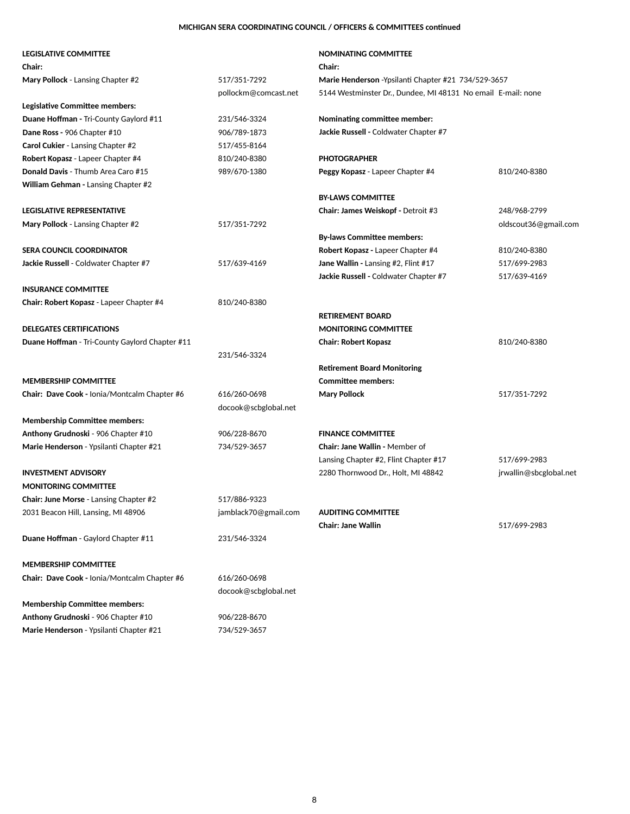# **MICHIGAN SERA COORDINATING COUNCIL / OFFICERS & COMMITTEES continued**

| <b>LEGISLATIVE COMMITTEE</b>                        |                      | NOMINATING COMMITTEE                                         |                        |
|-----------------------------------------------------|----------------------|--------------------------------------------------------------|------------------------|
| <b>Chair:</b>                                       |                      | <b>Chair:</b>                                                |                        |
| Mary Pollock - Lansing Chapter #2                   | 517/351-7292         | Marie Henderson - Ypsilanti Chapter #21 734/529-3657         |                        |
|                                                     | pollockm@comcast.net | 5144 Westminster Dr., Dundee, MI 48131 No email E-mail: none |                        |
| Legislative Committee members:                      |                      |                                                              |                        |
| <b>Duane Hoffman - Tri-County Gaylord #11</b>       | 231/546-3324         | <b>Nominating committee member:</b>                          |                        |
| Dane Ross - 906 Chapter #10                         | 906/789-1873         | Jackie Russell - Coldwater Chapter #7                        |                        |
| <b>Carol Cukier - Lansing Chapter #2</b>            | 517/455-8164         |                                                              |                        |
| Robert Kopasz - Lapeer Chapter #4                   | 810/240-8380         | <b>PHOTOGRAPHER</b>                                          |                        |
| Donald Davis - Thumb Area Caro #15                  | 989/670-1380         | Peggy Kopasz - Lapeer Chapter #4                             | 810/240-8380           |
| <b>William Gehman - Lansing Chapter #2</b>          |                      |                                                              |                        |
|                                                     |                      | <b>BY-LAWS COMMITTEE</b>                                     |                        |
| <b>LEGISLATIVE REPRESENTATIVE</b>                   |                      | Chair: James Weiskopf - Detroit #3                           | 248/968-2799           |
| Mary Pollock - Lansing Chapter #2                   | 517/351-7292         |                                                              | oldscout36@gmail.com   |
|                                                     |                      | <b>By-laws Committee members:</b>                            |                        |
| <b>SERA COUNCIL COORDINATOR</b>                     |                      | Robert Kopasz - Lapeer Chapter #4                            | 810/240-8380           |
| Jackie Russell - Coldwater Chapter #7               | 517/639-4169         | Jane Wallin - Lansing #2, Flint #17                          | 517/699-2983           |
|                                                     |                      | Jackie Russell - Coldwater Chapter #7                        | 517/639-4169           |
| <b>INSURANCE COMMITTEE</b>                          |                      |                                                              |                        |
| Chair: Robert Kopasz - Lapeer Chapter #4            | 810/240-8380         |                                                              |                        |
|                                                     |                      | <b>RETIREMENT BOARD</b>                                      |                        |
| <b>DELEGATES CERTIFICATIONS</b>                     |                      | <b>MONITORING COMMITTEE</b>                                  |                        |
| Duane Hoffman - Tri-County Gaylord Chapter #11      |                      | <b>Chair: Robert Kopasz</b>                                  | 810/240-8380           |
|                                                     | 231/546-3324         |                                                              |                        |
|                                                     |                      | <b>Retirement Board Monitoring</b>                           |                        |
| <b>MEMBERSHIP COMMITTEE</b>                         |                      | <b>Committee members:</b>                                    |                        |
| Chair: Dave Cook - Ionia/Montcalm Chapter #6        | 616/260-0698         | <b>Mary Pollock</b>                                          | 517/351-7292           |
|                                                     | docook@scbglobal.net |                                                              |                        |
| <b>Membership Committee members:</b>                |                      |                                                              |                        |
| Anthony Grudnoski - 906 Chapter #10                 | 906/228-8670         | <b>FINANCE COMMITTEE</b>                                     |                        |
| Marie Henderson - Ypsilanti Chapter #21             | 734/529-3657         | <b>Chair: Jane Wallin - Member of</b>                        |                        |
|                                                     |                      | Lansing Chapter #2, Flint Chapter #17                        | 517/699-2983           |
| <b>INVESTMENT ADVISORY</b>                          |                      | 2280 Thornwood Dr., Holt, MI 48842                           | jrwallin@sbcglobal.net |
| <b>MONITORING COMMITTEE</b>                         |                      |                                                              |                        |
| <b>Chair: June Morse - Lansing Chapter #2</b>       | 517/886-9323         |                                                              |                        |
| 2031 Beacon Hill, Lansing, MI 48906                 | jamblack70@gmail.com | <b>AUDITING COMMITTEE</b>                                    |                        |
|                                                     |                      | <b>Chair: Jane Wallin</b>                                    | 517/699-2983           |
| Duane Hoffman - Gaylord Chapter #11                 | 231/546-3324         |                                                              |                        |
| <b>MEMBERSHIP COMMITTEE</b>                         |                      |                                                              |                        |
| <b>Chair: Dave Cook - Ionia/Montcalm Chapter #6</b> | 616/260-0698         |                                                              |                        |
|                                                     | docook@scbglobal.net |                                                              |                        |
| <b>Membership Committee members:</b>                |                      |                                                              |                        |
| Anthony Grudnoski - 906 Chapter #10                 | 906/228-8670         |                                                              |                        |

Marie Henderson - Ypsilanti Chapter #21 734/529-3657